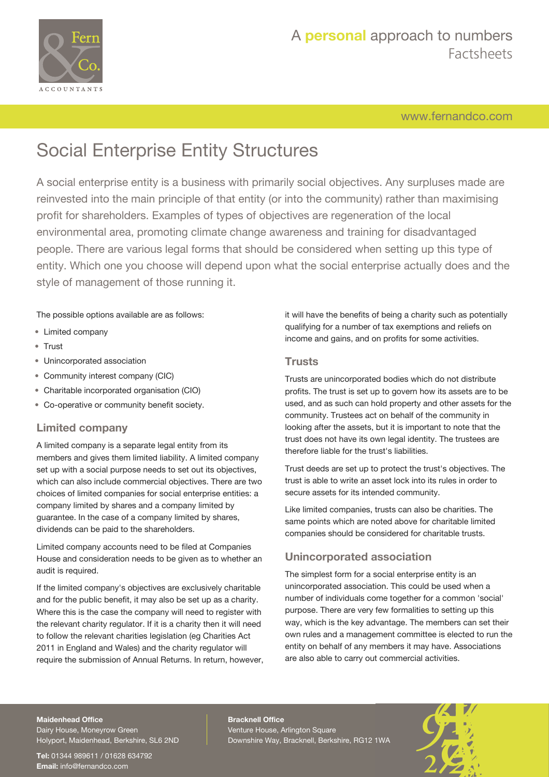

[www.fernandco.com](http://www.fernandco.com)

# Social Enterprise Entity Structures

A social enterprise entity is a business with primarily social objectives. Any surpluses made are reinvested into the main principle of that entity (or into the community) rather than maximising profit for shareholders. Examples of types of objectives are regeneration of the local environmental area, promoting climate change awareness and training for disadvantaged people. There are various legal forms that should be considered when setting up this type of entity. Which one you choose will depend upon what the social enterprise actually does and the style of management of those running it.

### The possible options available are as follows:

- Limited company
- Trust
- Unincorporated association
- Community interest company (CIC)
- Charitable incorporated organisation (CIO)
- Co-operative or community benefit society.

### **Limited company**

A limited company is a separate legal entity from its members and gives them limited liability. A limited company set up with a social purpose needs to set out its objectives, which can also include commercial objectives. There are two choices of limited companies for social enterprise entities: a company limited by shares and a company limited by guarantee. In the case of a company limited by shares, dividends can be paid to the shareholders.

Limited company accounts need to be filed at Companies House and consideration needs to be given as to whether an audit is required.

If the limited company's objectives are exclusively charitable and for the public benefit, it may also be set up as a charity. Where this is the case the company will need to register with the relevant charity regulator. If it is a charity then it will need to follow the relevant charities legislation (eg Charities Act 2011 in England and Wales) and the charity regulator will require the submission of Annual Returns. In return, however, it will have the benefits of being a charity such as potentially qualifying for a number of tax exemptions and reliefs on income and gains, and on profits for some activities.

### **Trusts**

Trusts are unincorporated bodies which do not distribute profits. The trust is set up to govern how its assets are to be used, and as such can hold property and other assets for the community. Trustees act on behalf of the community in looking after the assets, but it is important to note that the trust does not have its own legal identity. The trustees are therefore liable for the trust's liabilities.

Trust deeds are set up to protect the trust's objectives. The trust is able to write an asset lock into its rules in order to secure assets for its intended community.

Like limited companies, trusts can also be charities. The same points which are noted above for charitable limited companies should be considered for charitable trusts.

## **Unincorporated association**

The simplest form for a social enterprise entity is an unincorporated association. This could be used when a number of individuals come together for a common 'social' purpose. There are very few formalities to setting up this way, which is the key advantage. The members can set their own rules and a management committee is elected to run the entity on behalf of any members it may have. Associations are also able to carry out commercial activities.

#### **Maidenhead Office**

Dairy House, Moneyrow Green Holyport, Maidenhead, Berkshire, SL6 2ND

**Tel:** 01344 989611 / 01628 634792 **Email:** [info@fernandco.com](mailto:info@fernandco.com)

**Bracknell Office** Venture House, Arlington Square Downshire Way, Bracknell, Berkshire, RG12 1WA